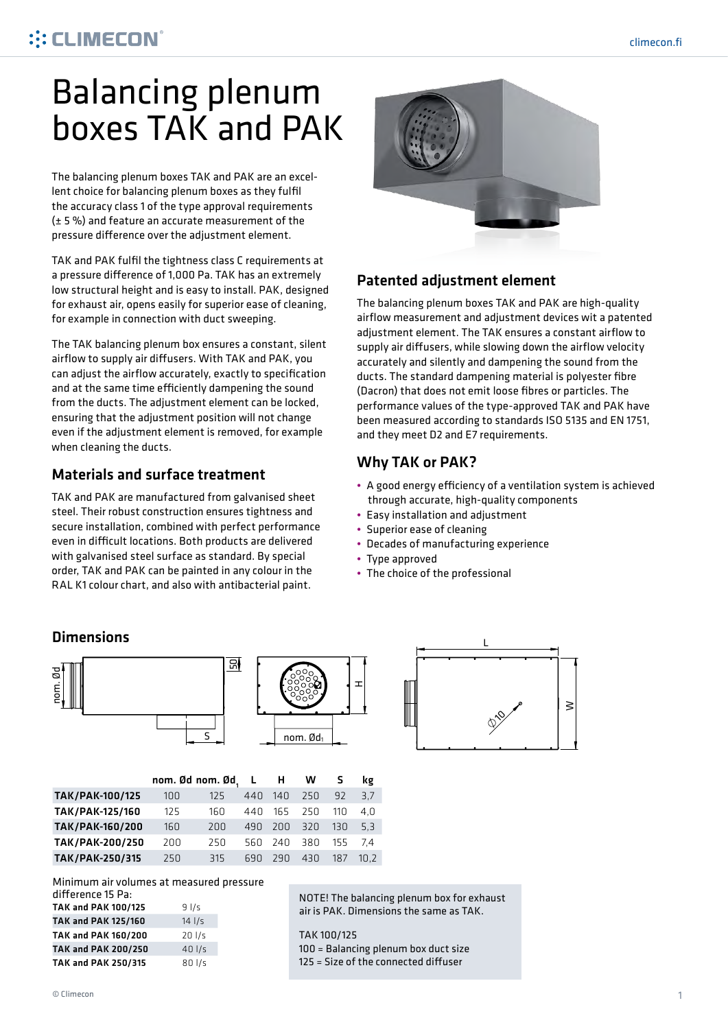**::: CLIMECON** 

# Balancing plenum boxes TAK and PAK

The balancing plenum boxes TAK and PAK are an excellent choice for balancing plenum boxes as they fulfil the accuracy class 1 of the type approval requirements (± 5 %) and feature an accurate measurement of the pressure difference over the adjustment element.

TAK and PAK fulfil the tightness class C requirements at a pressure difference of 1,000 Pa. TAK has an extremely low structural height and is easy to install. PAK, designed for exhaust air, opens easily for superior ease of cleaning, for example in connection with duct sweeping.

The TAK balancing plenum box ensures a constant, silent airflow to supply air diffusers. With TAK and PAK, you can adjust the airflow accurately, exactly to specification and at the same time efficiently dampening the sound from the ducts. The adjustment element can be locked, ensuring that the adjustment position will not change even if the adjustment element is removed, for example when cleaning the ducts.

#### Materials and surface treatment

TAK and PAK are manufactured from galvanised sheet steel. Their robust construction ensures tightness and secure installation, combined with perfect performance even in difficult locations. Both products are delivered with galvanised steel surface as standard. By special order, TAK and PAK can be painted in any colour in the RAL K1 colour chart, and also with antibacterial paint.

#### Patented adjustment element

The balancing plenum boxes TAK and PAK are high-quality airflow measurement and adjustment devices wit a patented adjustment element. The TAK ensures a constant airflow to supply air diffusers, while slowing down the airflow velocity accurately and silently and dampening the sound from the ducts. The standard dampening material is polyester fibre (Dacron) that does not emit loose fibres or particles. The performance values of the type-approved TAK and PAK have been measured according to standards ISO 5135 and EN 1751, and they meet D2 and E7 requirements.

#### Why TAK or PAK?

- A good energy efficiency of a ventilation system is achieved through accurate, high-quality components
- Easy installation and adjustment
- Superior ease of cleaning
- Japenor ease of clearing<br>• Decades of manufacturing experience<br>• Type approved
- Type approved
- The choice of the professional

## **Dimensions**



| nom. Ød                |                  | 뭐<br>S |     |     | nom. Ød <sub>1</sub> |     | I    |
|------------------------|------------------|--------|-----|-----|----------------------|-----|------|
|                        | nom. Ød nom. Ød, |        | -L. | н   | w                    | s   | kg   |
| <b>TAK/PAK-100/125</b> | 100              | 125    | 440 | 140 | 250                  | 92  | 3,7  |
| TAK/PAK-125/160        | 125              | 160    | 440 | 165 | 250                  | 110 | 4,0  |
| <b>TAK/PAK-160/200</b> | 160              | 200    | 490 | 200 | 320                  | 130 | 5,3  |
| <b>TAK/PAK-200/250</b> | 200              | 250    | 560 | 240 | 380                  | 155 | 7,4  |
| TAK/PAK-250/315        | 250              | 315    | 690 | 290 | 430                  | 187 | 10,2 |
|                        |                  |        |     |     |                      |     |      |

Minimum air volumes at measured pressure<br>difference 15 Day

| uilleieille 15 Pd.         |            |
|----------------------------|------------|
| <b>TAK and PAK 100/125</b> | 91/s       |
| <b>TAK and PAK 125/160</b> | $14$ $1/s$ |
| TAK and PAK 160/200        | $20$ $1/s$ |
| <b>TAK and PAK 200/250</b> | $40$ $1/s$ |
| TAK and PAK 250/315        | $80$ $1/s$ |
|                            |            |

NOTE! The balancing plenum box for exhaust air is PAK. Dimensions the same as TAK.

#### TAK 100/125

100 = Balancing plenum box duct size 125 = Size of the connected diffuser



1